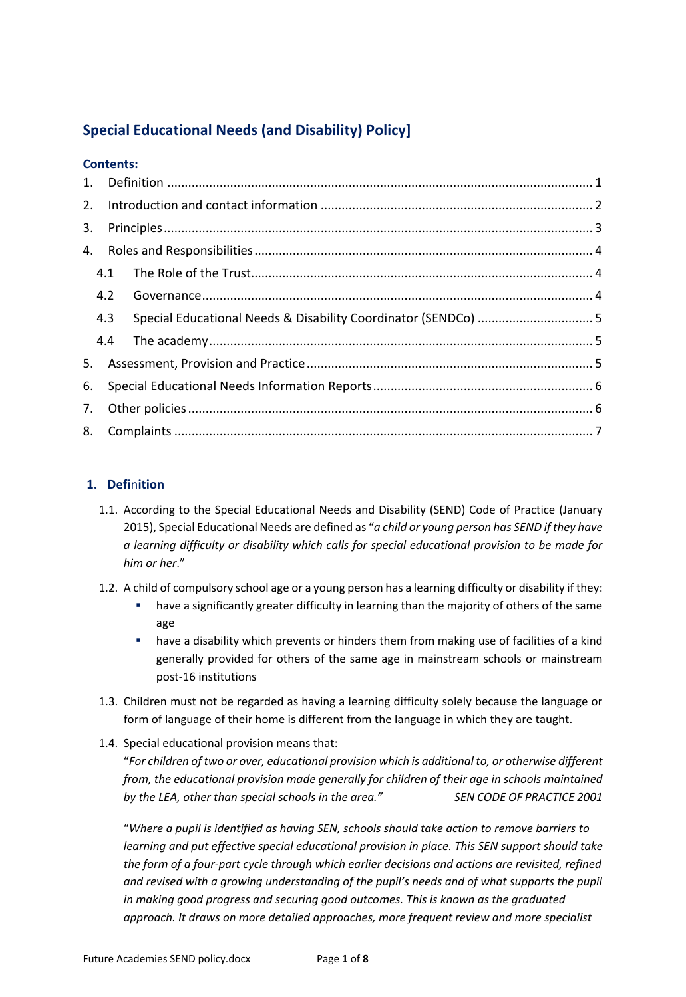# **Special Educational Needs (and Disability) Policy]**

|    | <b>Contents:</b> |                                                                |  |  |  |
|----|------------------|----------------------------------------------------------------|--|--|--|
| 1. |                  |                                                                |  |  |  |
| 2. |                  |                                                                |  |  |  |
| 3. |                  |                                                                |  |  |  |
| 4. |                  |                                                                |  |  |  |
|    | 4.1              |                                                                |  |  |  |
|    | 4.2              |                                                                |  |  |  |
|    | 4.3              | Special Educational Needs & Disability Coordinator (SENDCo)  5 |  |  |  |
|    | 4.4              |                                                                |  |  |  |
| 5. |                  |                                                                |  |  |  |
| 6. |                  |                                                                |  |  |  |
| 7. |                  |                                                                |  |  |  |
| 8. |                  |                                                                |  |  |  |

## **1. Defi**n**ition**

- 1.1. According to the Special Educational Needs and Disability (SEND) Code of Practice (January 2015), Special Educational Needs are defined as "*a child or young person has SEND if they have a learning difficulty or disability which calls for special educational provision to be made for him or her*."
- 1.2. A child of compulsory school age or a young person has a learning difficulty or disability if they:
	- **■** have a significantly greater difficulty in learning than the majority of others of the same age
	- **■** have a disability which prevents or hinders them from making use of facilities of a kind generally provided for others of the same age in mainstream schools or mainstream post-16 institutions
- 1.3. Children must not be regarded as having a learning difficulty solely because the language or form of language of their home is different from the language in which they are taught.
- 1.4. Special educational provision means that:

"*For children of two or over, educational provision which is additional to, or otherwise different from, the educational provision made generally for children of their age in schools maintained*  by the LEA, other than special schools in the area." SEN CODE OF PRACTICE 2001

"*Where a pupil is identified as having SEN, schools should take action to remove barriers to learning and put effective special educational provision in place. This SEN support should take the form of a four-part cycle through which earlier decisions and actions are revisited, refined and revised with a growing understanding of the pupil's needs and of what supports the pupil in making good progress and securing good outcomes. This is known as the graduated approach. It draws on more detailed approaches, more frequent review and more specialist*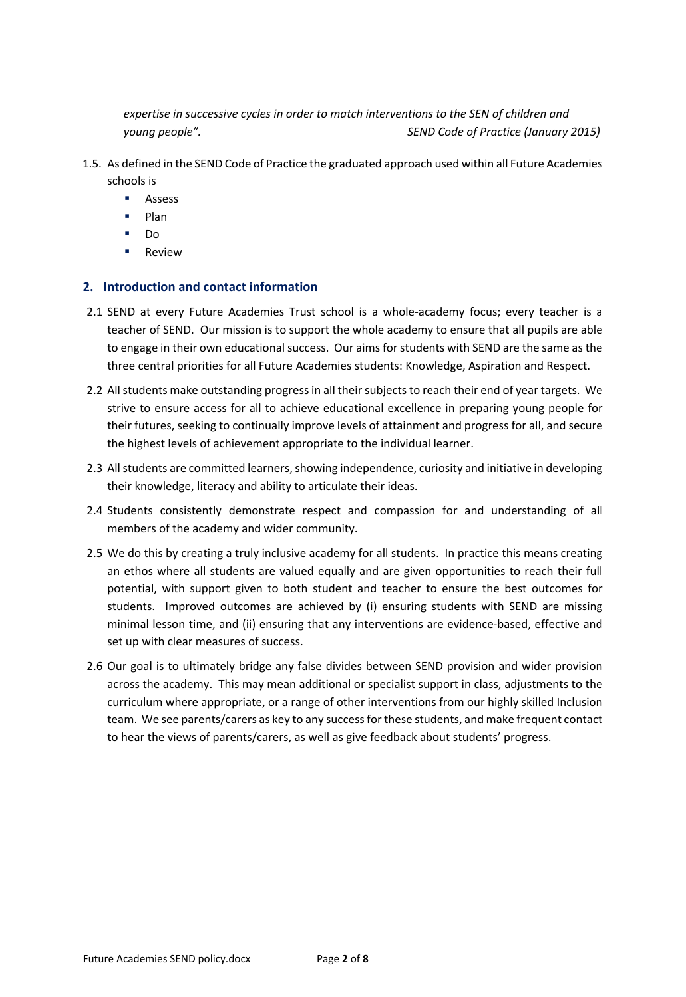*expertise in successive cycles in order to match interventions to the SEN of children and young people". SEND Code of Practice (January 2015)*

- 1.5. As defined in the SEND Code of Practice the graduated approach used within all Future Academies schools is
	- § Assess
	- § Plan
	- § Do
	- Review

#### **2. Introduction and contact information**

- 2.1 SEND at every Future Academies Trust school is a whole-academy focus; every teacher is a teacher of SEND. Our mission is to support the whole academy to ensure that all pupils are able to engage in their own educational success. Our aims for students with SEND are the same as the three central priorities for all Future Academies students: Knowledge, Aspiration and Respect.
- 2.2 All students make outstanding progress in all their subjects to reach their end of year targets. We strive to ensure access for all to achieve educational excellence in preparing young people for their futures, seeking to continually improve levels of attainment and progress for all, and secure the highest levels of achievement appropriate to the individual learner.
- 2.3 All students are committed learners, showing independence, curiosity and initiative in developing their knowledge, literacy and ability to articulate their ideas.
- 2.4 Students consistently demonstrate respect and compassion for and understanding of all members of the academy and wider community.
- 2.5 We do this by creating a truly inclusive academy for all students. In practice this means creating an ethos where all students are valued equally and are given opportunities to reach their full potential, with support given to both student and teacher to ensure the best outcomes for students. Improved outcomes are achieved by (i) ensuring students with SEND are missing minimal lesson time, and (ii) ensuring that any interventions are evidence-based, effective and set up with clear measures of success.
- 2.6 Our goal is to ultimately bridge any false divides between SEND provision and wider provision across the academy. This may mean additional or specialist support in class, adjustments to the curriculum where appropriate, or a range of other interventions from our highly skilled Inclusion team. We see parents/carers as key to any success for these students, and make frequent contact to hear the views of parents/carers, as well as give feedback about students' progress.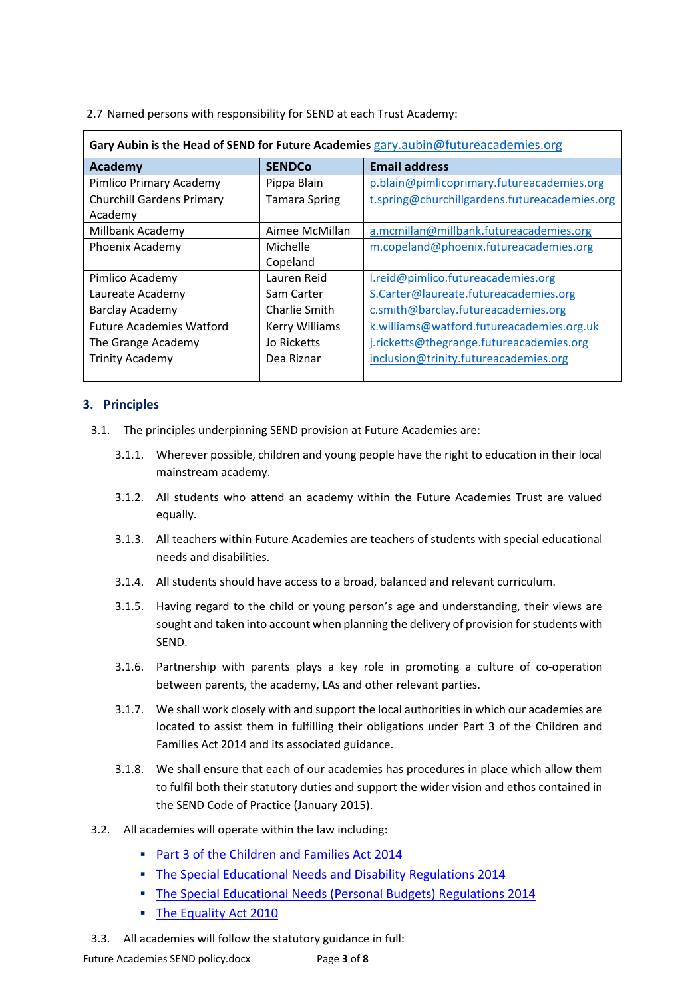2.7 Named persons with responsibility for SEND at each Trust Academy:

| Gary Aubin is the Head of SEND for Future Academies gary.aubin@futureacademies.org |                       |                                               |  |  |  |  |  |  |  |
|------------------------------------------------------------------------------------|-----------------------|-----------------------------------------------|--|--|--|--|--|--|--|
| <b>Academy</b>                                                                     | <b>SENDCo</b>         | <b>Email address</b>                          |  |  |  |  |  |  |  |
| Pimlico Primary Academy                                                            | Pippa Blain           | p.blain@pimlicoprimary.futureacademies.org    |  |  |  |  |  |  |  |
| <b>Churchill Gardens Primary</b>                                                   | <b>Tamara Spring</b>  | t.spring@churchillgardens.futureacademies.org |  |  |  |  |  |  |  |
| Academy                                                                            |                       |                                               |  |  |  |  |  |  |  |
| Millbank Academy                                                                   | Aimee McMillan        | a.mcmillan@millbank.futureacademies.org       |  |  |  |  |  |  |  |
| <b>Phoenix Academy</b>                                                             | Michelle              | m.copeland@phoenix.futureacademies.org        |  |  |  |  |  |  |  |
|                                                                                    | Copeland              |                                               |  |  |  |  |  |  |  |
| Pimlico Academy                                                                    | Lauren Reid           | l.reid@pimlico.futureacademies.org            |  |  |  |  |  |  |  |
| Laureate Academy                                                                   | Sam Carter            | S.Carter@laureate.futureacademies.org         |  |  |  |  |  |  |  |
| <b>Barclay Academy</b>                                                             | Charlie Smith         | c.smith@barclay.futureacademies.org           |  |  |  |  |  |  |  |
| <b>Future Academies Watford</b>                                                    | <b>Kerry Williams</b> | k.williams@watford.futureacademies.org.uk     |  |  |  |  |  |  |  |
| The Grange Academy                                                                 | Jo Ricketts           | j.ricketts@thegrange.futureacademies.org      |  |  |  |  |  |  |  |
| <b>Trinity Academy</b>                                                             | Dea Riznar            | inclusion@trinity.futureacademies.org         |  |  |  |  |  |  |  |
|                                                                                    |                       |                                               |  |  |  |  |  |  |  |

## **3. Principles**

- 3.1. The principles underpinning SEND provision at Future Academies are:
	- 3.1.1. Wherever possible, children and young people have the right to education in their local mainstream academy.
	- 3.1.2. All students who attend an academy within the Future Academies Trust are valued equally.
	- 3.1.3. All teachers within Future Academies are teachers of students with special educational needs and disabilities.
	- 3.1.4. All students should have access to a broad, balanced and relevant curriculum.
	- 3.1.5. Having regard to the child or young person's age and understanding, their views are sought and taken into account when planning the delivery of provision for students with SEND.
	- 3.1.6. Partnership with parents plays a key role in promoting a culture of co-operation between parents, the academy, LAs and other relevant parties.
	- 3.1.7. We shall work closely with and support the local authorities in which our academies are located to assist them in fulfilling their obligations under Part 3 of the Children and Families Act 2014 and its associated guidance.
	- 3.1.8. We shall ensure that each of our academies has procedures in place which allow them to fulfil both their statutory duties and support the wider vision and ethos contained in the SEND Code of Practice (January 2015).
- 3.2. All academies will operate within the law including:
	- § Part 3 of the Children and Families Act 2014
	- § The Special Educational Needs and Disability Regulations 2014
	- § The Special Educational Needs (Personal Budgets) Regulations 2014
	- The Equality Act 2010
- 3.3. All academies will follow the statutory guidance in full: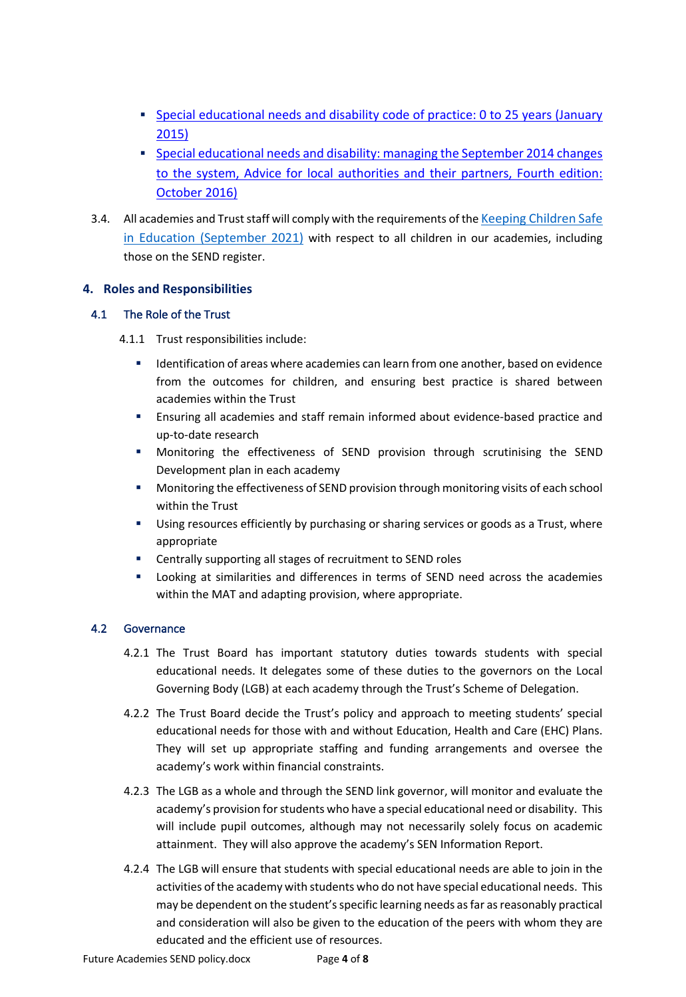- Special educational needs and disability code of practice: 0 to 25 years (January 2015)
- § Special educational needs and disability: managing the September 2014 changes to the system, Advice for local authorities and their partners, Fourth edition: October 2016)
- 3.4. All academies and Trust staff will comply with the requirements of the Keeping Children Safe in Education (September 2021) with respect to all children in our academies, including those on the SEND register.

## **4. Roles and Responsibilities**

## 4.1 The Role of the Trust

- 4.1.1 Trust responsibilities include:
	- Identification of areas where academies can learn from one another, based on evidence from the outcomes for children, and ensuring best practice is shared between academies within the Trust
	- Ensuring all academies and staff remain informed about evidence-based practice and up-to-date research
	- § Monitoring the effectiveness of SEND provision through scrutinising the SEND Development plan in each academy
	- Monitoring the effectiveness of SEND provision through monitoring visits of each school within the Trust
	- Using resources efficiently by purchasing or sharing services or goods as a Trust, where appropriate
	- Centrally supporting all stages of recruitment to SEND roles
	- Looking at similarities and differences in terms of SEND need across the academies within the MAT and adapting provision, where appropriate.

## 4.2 Governance

- 4.2.1 The Trust Board has important statutory duties towards students with special educational needs. It delegates some of these duties to the governors on the Local Governing Body (LGB) at each academy through the Trust's Scheme of Delegation.
- 4.2.2 The Trust Board decide the Trust's policy and approach to meeting students' special educational needs for those with and without Education, Health and Care (EHC) Plans. They will set up appropriate staffing and funding arrangements and oversee the academy's work within financial constraints.
- 4.2.3 The LGB as a whole and through the SEND link governor, will monitor and evaluate the academy's provision for students who have a special educational need or disability. This will include pupil outcomes, although may not necessarily solely focus on academic attainment. They will also approve the academy's SEN Information Report.
- 4.2.4 The LGB will ensure that students with special educational needs are able to join in the activities of the academy with students who do not have special educational needs. This may be dependent on the student'sspecific learning needs as far as reasonably practical and consideration will also be given to the education of the peers with whom they are educated and the efficient use of resources.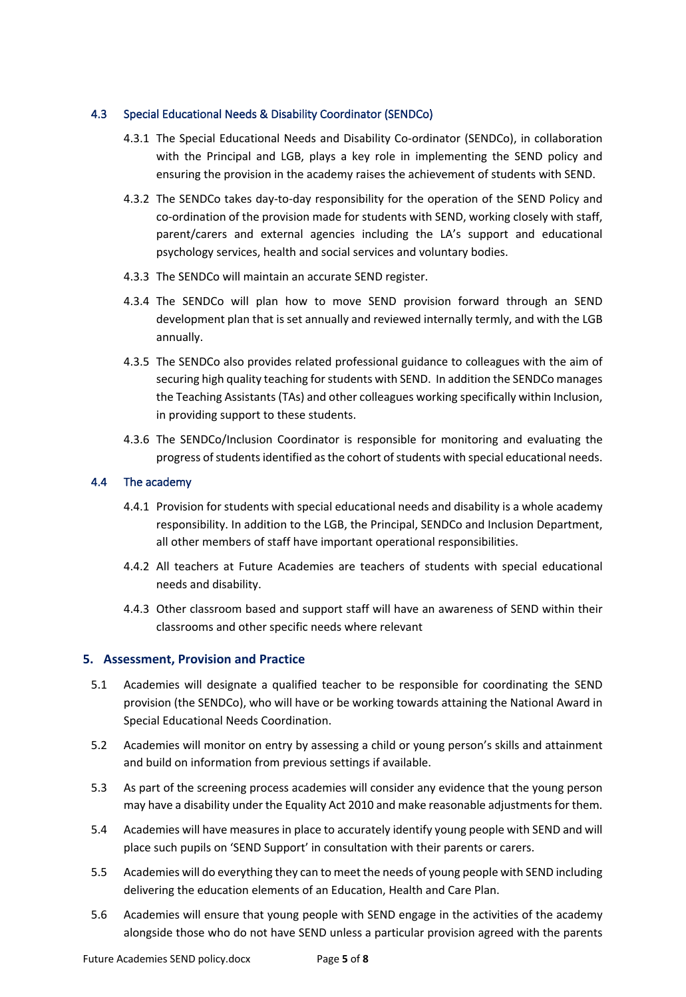#### 4.3 Special Educational Needs & Disability Coordinator (SENDCo)

- 4.3.1 The Special Educational Needs and Disability Co-ordinator (SENDCo), in collaboration with the Principal and LGB, plays a key role in implementing the SEND policy and ensuring the provision in the academy raises the achievement of students with SEND.
- 4.3.2 The SENDCo takes day-to-day responsibility for the operation of the SEND Policy and co-ordination of the provision made for students with SEND, working closely with staff, parent/carers and external agencies including the LA's support and educational psychology services, health and social services and voluntary bodies.
- 4.3.3 The SENDCo will maintain an accurate SEND register.
- 4.3.4 The SENDCo will plan how to move SEND provision forward through an SEND development plan that is set annually and reviewed internally termly, and with the LGB annually.
- 4.3.5 The SENDCo also provides related professional guidance to colleagues with the aim of securing high quality teaching for students with SEND. In addition the SENDCo manages the Teaching Assistants (TAs) and other colleagues working specifically within Inclusion, in providing support to these students.
- 4.3.6 The SENDCo/Inclusion Coordinator is responsible for monitoring and evaluating the progress of students identified as the cohort of students with special educational needs.

#### 4.4 The academy

- 4.4.1 Provision for students with special educational needs and disability is a whole academy responsibility. In addition to the LGB, the Principal, SENDCo and Inclusion Department, all other members of staff have important operational responsibilities.
- 4.4.2 All teachers at Future Academies are teachers of students with special educational needs and disability.
- 4.4.3 Other classroom based and support staff will have an awareness of SEND within their classrooms and other specific needs where relevant

## **5. Assessment, Provision and Practice**

- 5.1 Academies will designate a qualified teacher to be responsible for coordinating the SEND provision (the SENDCo), who will have or be working towards attaining the National Award in Special Educational Needs Coordination.
- 5.2 Academies will monitor on entry by assessing a child or young person's skills and attainment and build on information from previous settings if available.
- 5.3 As part of the screening process academies will consider any evidence that the young person may have a disability under the Equality Act 2010 and make reasonable adjustments for them.
- 5.4 Academies will have measures in place to accurately identify young people with SEND and will place such pupils on 'SEND Support' in consultation with their parents or carers.
- 5.5 Academies will do everything they can to meet the needs of young people with SEND including delivering the education elements of an Education, Health and Care Plan.
- 5.6 Academies will ensure that young people with SEND engage in the activities of the academy alongside those who do not have SEND unless a particular provision agreed with the parents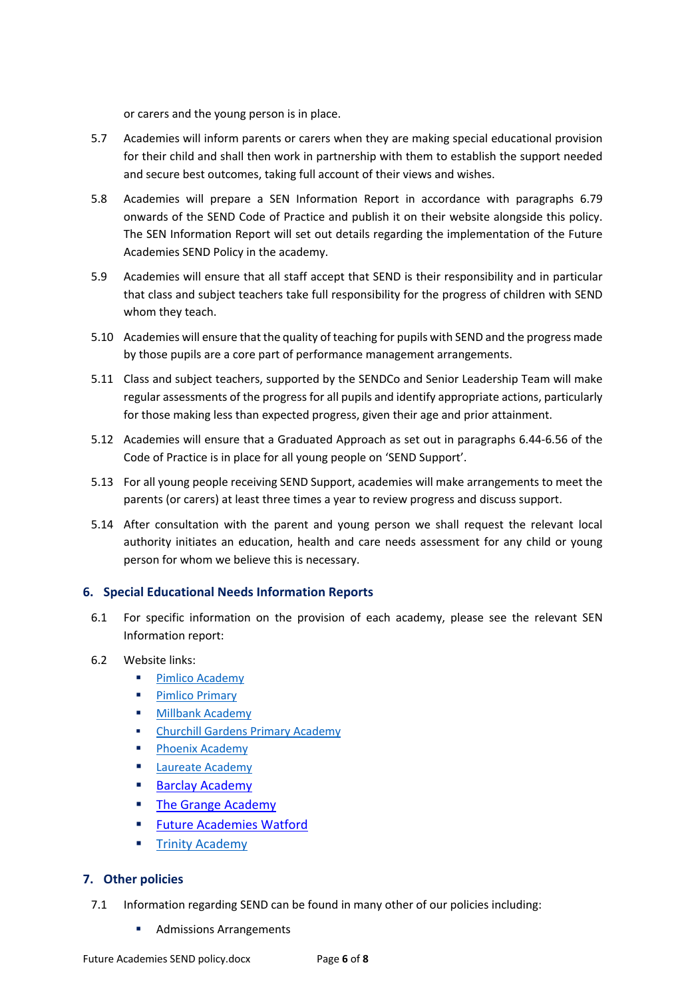or carers and the young person is in place.

- 5.7 Academies will inform parents or carers when they are making special educational provision for their child and shall then work in partnership with them to establish the support needed and secure best outcomes, taking full account of their views and wishes.
- 5.8 Academies will prepare a SEN Information Report in accordance with paragraphs 6.79 onwards of the SEND Code of Practice and publish it on their website alongside this policy. The SEN Information Report will set out details regarding the implementation of the Future Academies SEND Policy in the academy.
- 5.9 Academies will ensure that all staff accept that SEND is their responsibility and in particular that class and subject teachers take full responsibility for the progress of children with SEND whom they teach.
- 5.10 Academies will ensure that the quality of teaching for pupils with SEND and the progress made by those pupils are a core part of performance management arrangements.
- 5.11 Class and subject teachers, supported by the SENDCo and Senior Leadership Team will make regular assessments of the progress for all pupils and identify appropriate actions, particularly for those making less than expected progress, given their age and prior attainment.
- 5.12 Academies will ensure that a Graduated Approach as set out in paragraphs 6.44-6.56 of the Code of Practice is in place for all young people on 'SEND Support'.
- 5.13 For all young people receiving SEND Support, academies will make arrangements to meet the parents (or carers) at least three times a year to review progress and discuss support.
- 5.14 After consultation with the parent and young person we shall request the relevant local authority initiates an education, health and care needs assessment for any child or young person for whom we believe this is necessary.

## **6. Special Educational Needs Information Reports**

- 6.1 For specific information on the provision of each academy, please see the relevant SEN Information report:
- 6.2 Website links:
	- Pimlico Academy
	- Pimlico Primary
	- **Millbank Academy**
	- § Churchill Gardens Primary Academy
	- **Phoenix Academy**
	- Laureate Academy
	- Barclay Academy
	- **Example Academy**
	- Future Academies Watford
	- **Trinity Academy**

## **7. Other policies**

- 7.1 Information regarding SEND can be found in many other of our policies including:
	- § Admissions Arrangements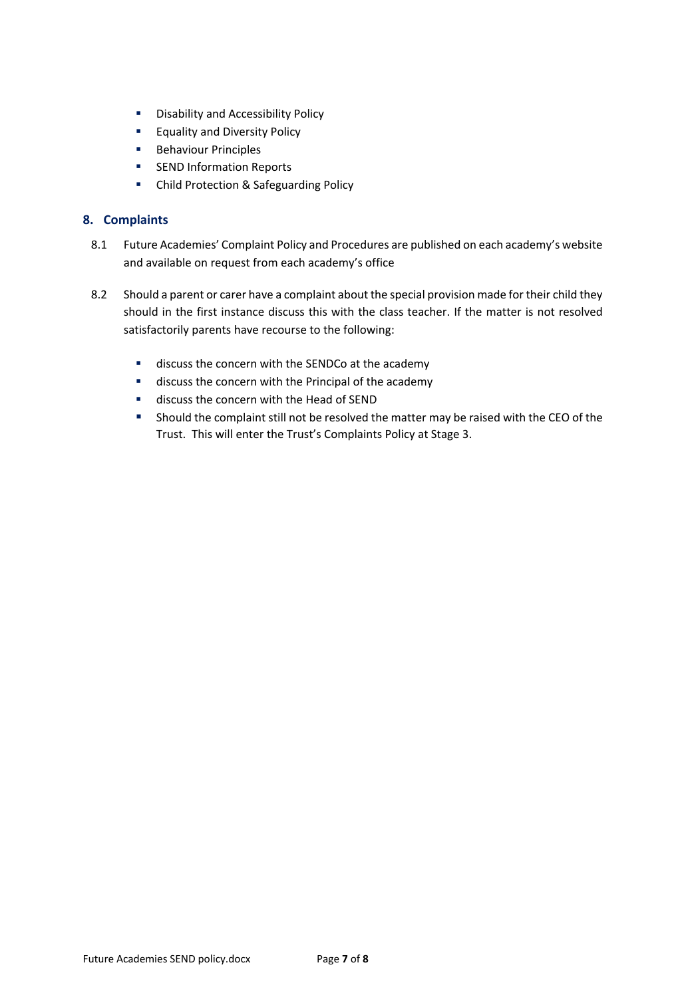- Disability and Accessibility Policy
- Equality and Diversity Policy
- Behaviour Principles
- SEND Information Reports
- Child Protection & Safeguarding Policy

## **8. Complaints**

- 8.1 Future Academies' Complaint Policy and Procedures are published on each academy's website and available on request from each academy's office
- 8.2 Should a parent or carer have a complaint about the special provision made for their child they should in the first instance discuss this with the class teacher. If the matter is not resolved satisfactorily parents have recourse to the following:
	- discuss the concern with the SENDCo at the academy
	- discuss the concern with the Principal of the academy
	- discuss the concern with the Head of SEND
	- Should the complaint still not be resolved the matter may be raised with the CEO of the Trust. This will enter the Trust's Complaints Policy at Stage 3.